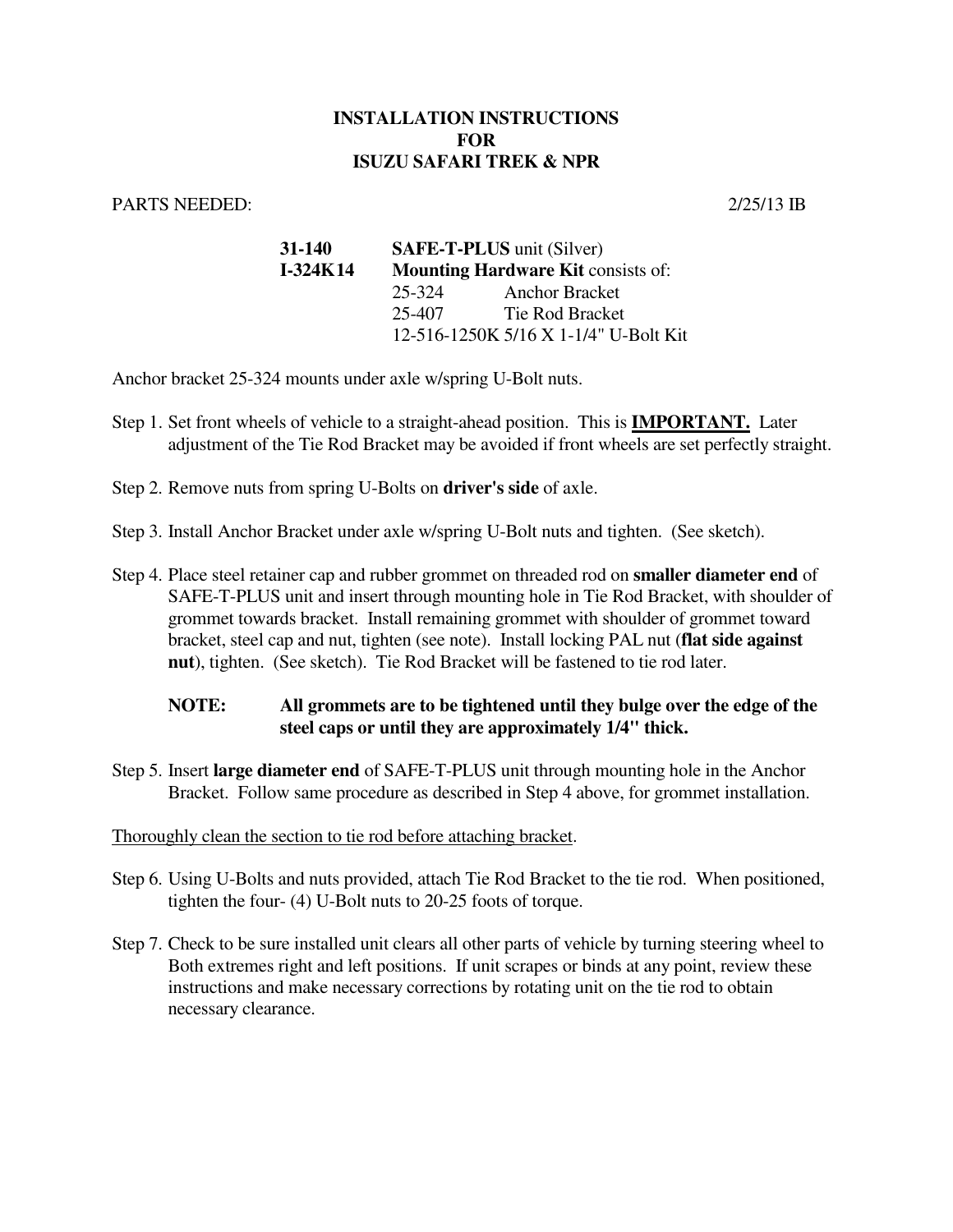## **INSTALLATION INSTRUCTIONS FOR ISUZU SAFARI TREK & NPR**

## PARTS NEEDED: 2/25/13 IB

| 31-140     | <b>SAFE-T-PLUS</b> unit (Silver)<br><b>Mounting Hardware Kit consists of:</b> |                                       |
|------------|-------------------------------------------------------------------------------|---------------------------------------|
| $I-324K14$ |                                                                               |                                       |
|            | 25-324                                                                        | <b>Anchor Bracket</b>                 |
|            | 25-407                                                                        | Tie Rod Bracket                       |
|            |                                                                               | 12-516-1250K 5/16 X 1-1/4" U-Bolt Kit |

Anchor bracket 25-324 mounts under axle w/spring U-Bolt nuts.

- Step 1. Set front wheels of vehicle to a straight-ahead position. This is **IMPORTANT.** Later adjustment of the Tie Rod Bracket may be avoided if front wheels are set perfectly straight.
- Step 2. Remove nuts from spring U-Bolts on **driver's side** of axle.
- Step 3. Install Anchor Bracket under axle w/spring U-Bolt nuts and tighten. (See sketch).
- Step 4. Place steel retainer cap and rubber grommet on threaded rod on **smaller diameter end** of SAFE-T-PLUS unit and insert through mounting hole in Tie Rod Bracket, with shoulder of grommet towards bracket. Install remaining grommet with shoulder of grommet toward bracket, steel cap and nut, tighten (see note). Install locking PAL nut (**flat side against nut**), tighten. (See sketch). Tie Rod Bracket will be fastened to tie rod later.

## **NOTE: All grommets are to be tightened until they bulge over the edge of the steel caps or until they are approximately 1/4" thick.**

Step 5. Insert **large diameter end** of SAFE-T-PLUS unit through mounting hole in the Anchor Bracket. Follow same procedure as described in Step 4 above, for grommet installation.

## Thoroughly clean the section to tie rod before attaching bracket.

- Step 6. Using U-Bolts and nuts provided, attach Tie Rod Bracket to the tie rod. When positioned, tighten the four- (4) U-Bolt nuts to 20-25 foots of torque.
- Step 7. Check to be sure installed unit clears all other parts of vehicle by turning steering wheel to Both extremes right and left positions. If unit scrapes or binds at any point, review these instructions and make necessary corrections by rotating unit on the tie rod to obtain necessary clearance.